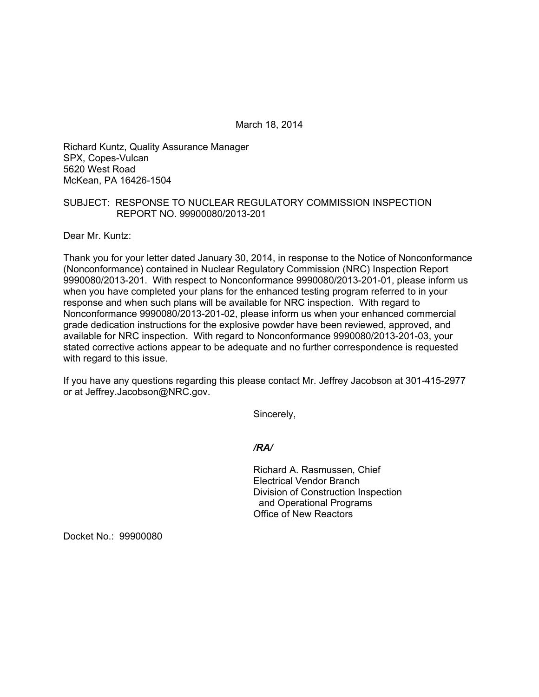March 18, 2014

Richard Kuntz, Quality Assurance Manager SPX, Copes-Vulcan 5620 West Road McKean, PA 16426-1504

## SUBJECT: RESPONSE TO NUCLEAR REGULATORY COMMISSION INSPECTION REPORT NO. 99900080/2013-201

Dear Mr. Kuntz:

Thank you for your letter dated January 30, 2014, in response to the Notice of Nonconformance (Nonconformance) contained in Nuclear Regulatory Commission (NRC) Inspection Report 9990080/2013-201. With respect to Nonconformance 9990080/2013-201-01, please inform us when you have completed your plans for the enhanced testing program referred to in your response and when such plans will be available for NRC inspection. With regard to Nonconformance 9990080/2013-201-02, please inform us when your enhanced commercial grade dedication instructions for the explosive powder have been reviewed, approved, and available for NRC inspection. With regard to Nonconformance 9990080/2013-201-03, your stated corrective actions appear to be adequate and no further correspondence is requested with regard to this issue.

If you have any questions regarding this please contact Mr. Jeffrey Jacobson at 301-415-2977 or at Jeffrey.Jacobson@NRC.gov.

Sincerely,

*/RA/* 

Richard A. Rasmussen, Chief Electrical Vendor Branch Division of Construction Inspection and Operational Programs Office of New Reactors

Docket No.: 99900080